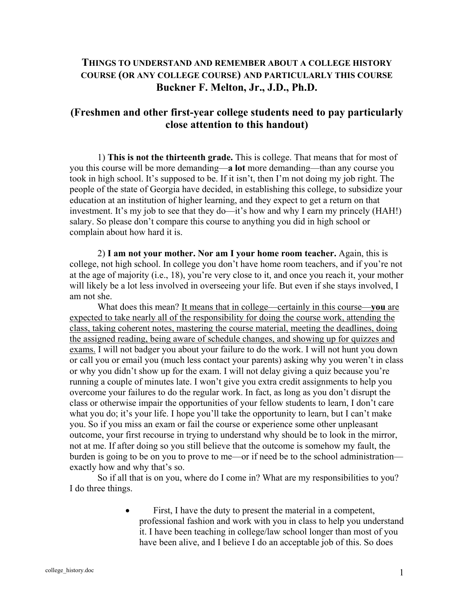## **THINGS TO UNDERSTAND AND REMEMBER ABOUT A COLLEGE HISTORY COURSE (OR ANY COLLEGE COURSE) AND PARTICULARLY THIS COURSE Buckner F. Melton, Jr., J.D., Ph.D.**

## **(Freshmen and other first-year college students need to pay particularly close attention to this handout)**

 1) **This is not the thirteenth grade.** This is college. That means that for most of you this course will be more demanding—**a lot** more demanding—than any course you took in high school. It's supposed to be. If it isn't, then I'm not doing my job right. The people of the state of Georgia have decided, in establishing this college, to subsidize your education at an institution of higher learning, and they expect to get a return on that investment. It's my job to see that they do—it's how and why I earn my princely (HAH!) salary. So please don't compare this course to anything you did in high school or complain about how hard it is.

 2) **I am not your mother. Nor am I your home room teacher.** Again, this is college, not high school. In college you don't have home room teachers, and if you're not at the age of majority (i.e., 18), you're very close to it, and once you reach it, your mother will likely be a lot less involved in overseeing your life. But even if she stays involved, I am not she.

 What does this mean? It means that in college—certainly in this course—**you** are expected to take nearly all of the responsibility for doing the course work, attending the class, taking coherent notes, mastering the course material, meeting the deadlines, doing the assigned reading, being aware of schedule changes, and showing up for quizzes and exams. I will not badger you about your failure to do the work. I will not hunt you down or call you or email you (much less contact your parents) asking why you weren't in class or why you didn't show up for the exam. I will not delay giving a quiz because you're running a couple of minutes late. I won't give you extra credit assignments to help you overcome your failures to do the regular work. In fact, as long as you don't disrupt the class or otherwise impair the opportunities of your fellow students to learn, I don't care what you do; it's your life. I hope you'll take the opportunity to learn, but I can't make you. So if you miss an exam or fail the course or experience some other unpleasant outcome, your first recourse in trying to understand why should be to look in the mirror, not at me. If after doing so you still believe that the outcome is somehow my fault, the burden is going to be on you to prove to me—or if need be to the school administration exactly how and why that's so.

 So if all that is on you, where do I come in? What are my responsibilities to you? I do three things.

> First, I have the duty to present the material in a competent, professional fashion and work with you in class to help you understand it. I have been teaching in college/law school longer than most of you have been alive, and I believe I do an acceptable job of this. So does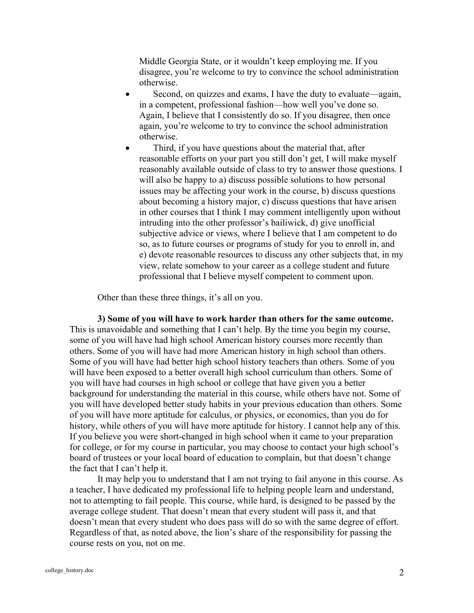Middle Georgia State, or it wouldn't keep employing me. If you disagree, you're welcome to try to convince the school administration otherwise.

- Second, on quizzes and exams, I have the duty to evaluate—again, in a competent, professional fashion—how well you've done so. Again, I believe that I consistently do so. If you disagree, then once again, you're welcome to try to convince the school administration otherwise.
- Third, if you have questions about the material that, after reasonable efforts on your part you still don't get, I will make myself reasonably available outside of class to try to answer those questions. I will also be happy to a) discuss possible solutions to how personal issues may be affecting your work in the course, b) discuss questions about becoming a history major, c) discuss questions that have arisen in other courses that I think I may comment intelligently upon without intruding into the other professor's bailiwick, d) give unofficial subjective advice or views, where I believe that I am competent to do so, as to future courses or programs of study for you to enroll in, and e) devote reasonable resources to discuss any other subjects that, in my view, relate somehow to your career as a college student and future professional that I believe myself competent to comment upon.

Other than these three things, it's all on you.

**3) Some of you will have to work harder than others for the same outcome.** This is unavoidable and something that I can't help. By the time you begin my course, some of you will have had high school American history courses more recently than others. Some of you will have had more American history in high school than others. Some of you will have had better high school history teachers than others. Some of you will have been exposed to a better overall high school curriculum than others. Some of you will have had courses in high school or college that have given you a better background for understanding the material in this course, while others have not. Some of you will have developed better study habits in your previous education than others. Some of you will have more aptitude for calculus, or physics, or economics, than you do for history, while others of you will have more aptitude for history. I cannot help any of this. If you believe you were short-changed in high school when it came to your preparation for college, or for my course in particular, you may choose to contact your high school's board of trustees or your local board of education to complain, but that doesn't change the fact that I can't help it.

 It may help you to understand that I am not trying to fail anyone in this course. As a teacher, I have dedicated my professional life to helping people learn and understand, not to attempting to fail people. This course, while hard, is designed to be passed by the average college student. That doesn't mean that every student will pass it, and that doesn't mean that every student who does pass will do so with the same degree of effort. Regardless of that, as noted above, the lion's share of the responsibility for passing the course rests on you, not on me.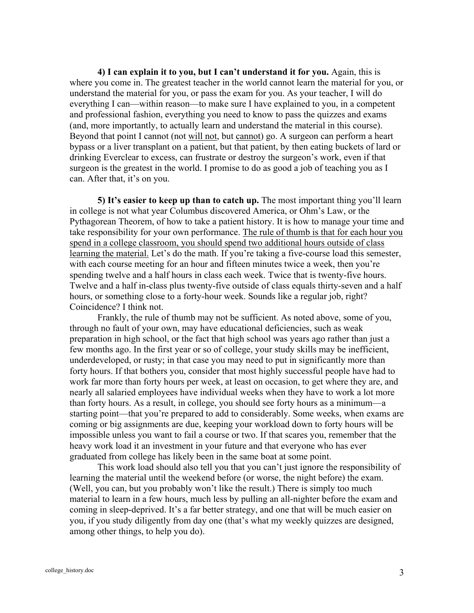**4) I can explain it to you, but I can't understand it for you.** Again, this is where you come in. The greatest teacher in the world cannot learn the material for you, or understand the material for you, or pass the exam for you. As your teacher, I will do everything I can—within reason—to make sure I have explained to you, in a competent and professional fashion, everything you need to know to pass the quizzes and exams (and, more importantly, to actually learn and understand the material in this course). Beyond that point I cannot (not will not, but cannot) go. A surgeon can perform a heart bypass or a liver transplant on a patient, but that patient, by then eating buckets of lard or drinking Everclear to excess, can frustrate or destroy the surgeon's work, even if that surgeon is the greatest in the world. I promise to do as good a job of teaching you as I can. After that, it's on you.

**5) It's easier to keep up than to catch up.** The most important thing you'll learn in college is not what year Columbus discovered America, or Ohm's Law, or the Pythagorean Theorem, of how to take a patient history. It is how to manage your time and take responsibility for your own performance. The rule of thumb is that for each hour you spend in a college classroom, you should spend two additional hours outside of class learning the material. Let's do the math. If you're taking a five-course load this semester, with each course meeting for an hour and fifteen minutes twice a week, then you're spending twelve and a half hours in class each week. Twice that is twenty-five hours. Twelve and a half in-class plus twenty-five outside of class equals thirty-seven and a half hours, or something close to a forty-hour week. Sounds like a regular job, right? Coincidence? I think not.

 Frankly, the rule of thumb may not be sufficient. As noted above, some of you, through no fault of your own, may have educational deficiencies, such as weak preparation in high school, or the fact that high school was years ago rather than just a few months ago. In the first year or so of college, your study skills may be inefficient, underdeveloped, or rusty; in that case you may need to put in significantly more than forty hours. If that bothers you, consider that most highly successful people have had to work far more than forty hours per week, at least on occasion, to get where they are, and nearly all salaried employees have individual weeks when they have to work a lot more than forty hours. As a result, in college, you should see forty hours as a minimum—a starting point—that you're prepared to add to considerably. Some weeks, when exams are coming or big assignments are due, keeping your workload down to forty hours will be impossible unless you want to fail a course or two. If that scares you, remember that the heavy work load it an investment in your future and that everyone who has ever graduated from college has likely been in the same boat at some point.

 This work load should also tell you that you can't just ignore the responsibility of learning the material until the weekend before (or worse, the night before) the exam. (Well, you can, but you probably won't like the result.) There is simply too much material to learn in a few hours, much less by pulling an all-nighter before the exam and coming in sleep-deprived. It's a far better strategy, and one that will be much easier on you, if you study diligently from day one (that's what my weekly quizzes are designed, among other things, to help you do).